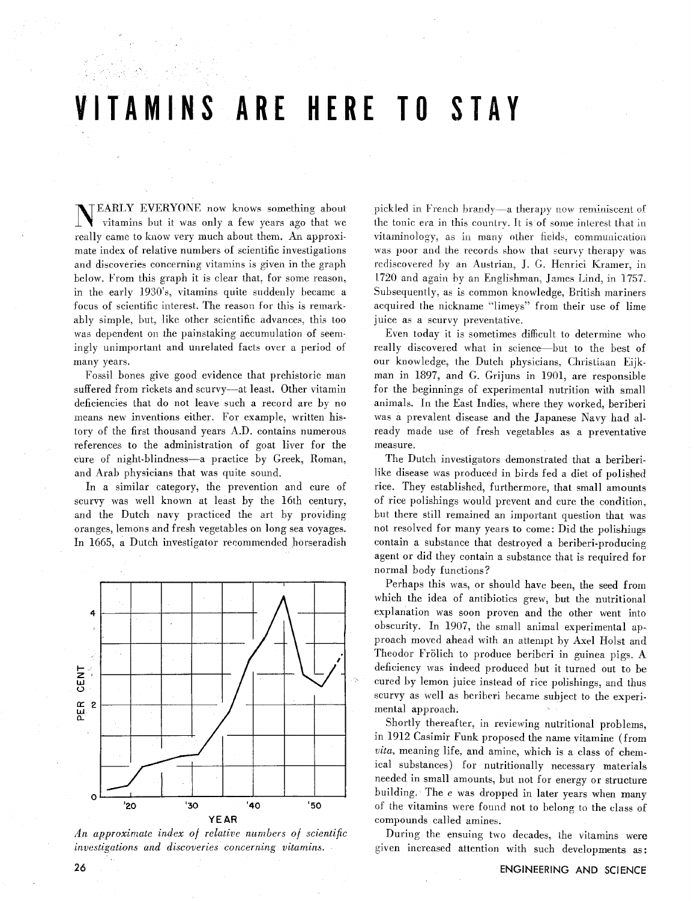# VITAMINS ARE HERE TO STAY

TEARLY EVERYONE now knows something about vitamins but it was only a few years ago that we really came to know very much about them. An approximate index of relative numbers of scientific investigations and discoveries concerning vitamins is given in the graph below. From this graph it is clear that. for some reason, in the early 1930"s, vitamins quite suddenly became a focus of scientific interest. The reason for this is remarkably simple, but, like other scientific advances. this too was dependent on the painstaking accumulation of seemingly unimportant and unrelated facts over a period of many years.

Fossil bones give good evidence thai prehistoric man suffered from rickets and scurvy-at least. Other vitamin deficiencies that do not leave such a record are by no means new inventions either. For example, written history of the first thousand years A.D. contains numerous references to the administration of goat liver for the cure of night-blindness-a practice by Greek, Roman, and Arab physicians that was quite sound.

In a similar category, the prevention and cure of scurvy was well known at least by the 16th century, and the Dutch navy practiced the art by providing oranges, lemons and fresh vegetables on long sea voyages. In 1665, a Dutch investigator recommended horseradish



*An approximate index of relative numbers of scientific investigations and discoveries concerning vitamins.* 

pickled in French brandy—a therapy now reminiscent of the tonic era in this country. It is of some interest that in vitaminology, as in many other fields, communication was poor and the records show that scurvy therapy was rediscovered by an Austrian, J. *G.* Hcnrici Kramer, in 1720 and again by an Englishman, James Lind, in 1757. Subsequently, as is common knowledge, British mariners acquired the nickname "limeys" from their use of lime juice as a scurvy preventative.

Even today it is sometimes difficult to determine who really discovered what in science-but to the best of our knowledge, the Dutch physicians, Christiaan Eijkman in 1897, and G. Grijuns in 1901, are responsible for the beginnings of experimental nutrition with small animals. In the East Indies, where they worked, beriberi was a prevalent disease and the Japanese Navy had already made use of fresh vegetables as a preventative measure.

The Dutch investigators demonstrated that a beriberilike disease was produced in birds fed a diet of polished rice. They established, furthermore, that small amounts of rice polishings would prevent and cure the condition, but there still remained an important question that was not resolved for many years to come: Did the polishings contain a substance that destroyed a beriberi-producing agent or did they contain a substance that is required for normal body functions?

Perhaps this was, or should have been, the seed from which the idea of antibiotics grew, but the nutritional explanation was soon proven and the other went into obscurity. In 1907, the small animal experimental approach moved ahead with an attempt by Axel Holst and Theodor Frölich to produce beriberi in guinea pigs. A deficiency was indeed produced but it turned out to be cured by lemon juice instead of rice polishings, and thus scurvy as well as beriberi became subject to the experimental approach.

Shortly thereafter. in reviewing nutritional problems, in 1912 Casimir Funk proposed the name vitamine (from *vita.* meaning life, and amine, which is a class of chemical substances) for nutritionally necessary materials needed in small amounts, but not for energy or structure building. The *e* was dropped in later years when many of the vitamins ivere found not to belong to the class of compounds called amines.

During the ensuing two decades, ihe vitamins were given increased attention with such developments as: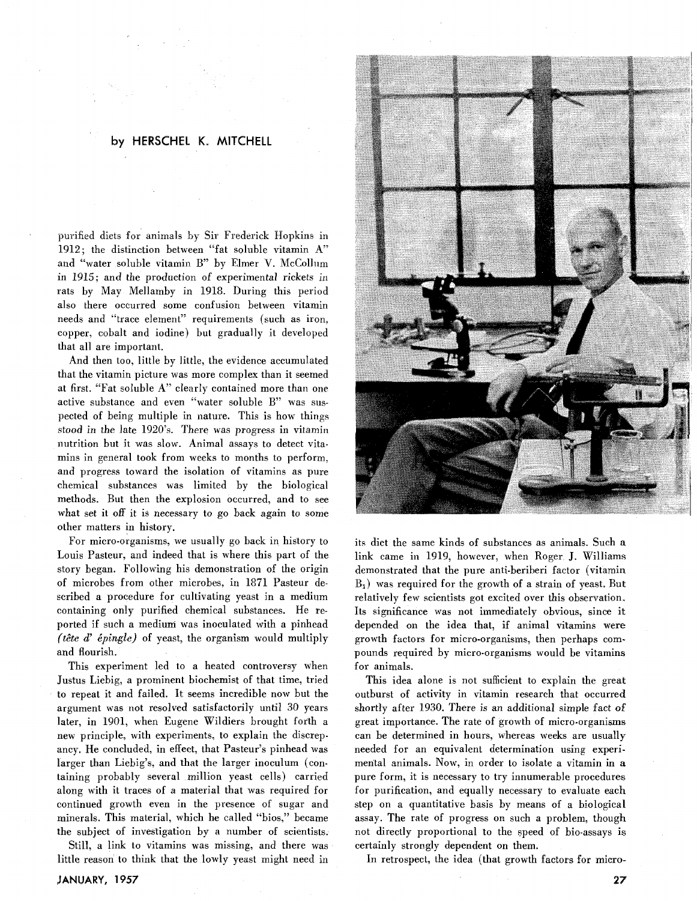## **by HERSCHEL K. MITCHELL**

purified diets for animals by Sir Frederick Hopkins in 1912; the distinction between "fat soluble vitamin A" and "water soluble vitamin B" by Elmer V. McCollum in 1915; and the production of experimental rickets in rats by May Mellamby in 1918. During this period also there occurred some confusion between vitamin needs and "trace element" requirements (such as iron, copper, cobalt and iodine) but gradually it developed that all are important.

And then too, little by little, the evidence accumulated that the vitamin picture was more complex than it seemed at first. "Fat soluble A" clearly contained more than one active substance and even "water soluble B" was suspeeled of being multiple in nature. This is how things stood in the late 1920's. There was progress in vitamin nutrition but it was slow. Animal assays to detect vitamins in general took from weeks to months to perform, and progress toward the isolation of vitamins as pure chemical substances was limited by the biological methods. But then the explosion occurred, and to see what set it off it is necessary to go back again to some other matters in history.

For micro-organisms, we usually go back in history to Louis Pasteur, and indeed that is where this part of the story began. Following his demonstration of the origin of microbes from other microbes, in 1871 Pasteur described a procedure for cultivating yeast in a medium containing only purified chemical substances. He reported if such a medium was inoculated with a pinhead  $(t \hat{e} t e d' \hat{e} pingle)$  of yeast, the organism would multiply and flourish.

This experiment led to a heated controversy when Justus Liebig, a prominent biochemist of that time, tried to repeat it and failed. It seems incredible now but the argument was not resolved satisfactorily until 30 years later, in 1901, when Eugene Wildiers brought forth a new principle, with experiments, to explain the discrepancy. He concluded, in effect, that Pasteur's pinhead was larger than Liebig's, and that the larger inoculum (containing probably several million yeast cells) carried along with it traces of a material that was required for continued growth even in the presence of sugar and minerals. This material, which he called "bios," became the subject of investigation by a number of scientists.

Still, a link to vitamins was missing, and there was little reason to think that the lowly yeast might need in



its diet the same kinds of substances as animals. Such a link came in 1919, however, when Roger J. Williams demonstrated that the pure anti-beriberi factor (vitamin  $B_1$ ) was required for the growth of a strain of yeast. But relatively few scientists got excited over this observation. Its significance was not immediately obvious, since it depended on the idea that, if animal vitamins were growth factors for micro-organisms, then perhaps compounds required by micro-organisms would be vitamins for animals.

This idea alone is not sufficient to explain the great outburst of activity in vitamin research that occurred shortly after 1930. There is an additional simple fact of great importance. The rate of growth of micro-organisms can be determined in hours, whereas weeks are usually needed for an equivalent determination using experimental animals. Now, in order to isolate a vitamin in a pure form, it is necessary to try innumerable procedures for purification, and equally necessary to evaluate each step on a quantitative basis by means of a biological assay. The rate of progress on such a problem, though not directly proportional to the speed of bio-assays is certainly strongly dependent on them.

In retrospect, the idea (that growth factors for micro-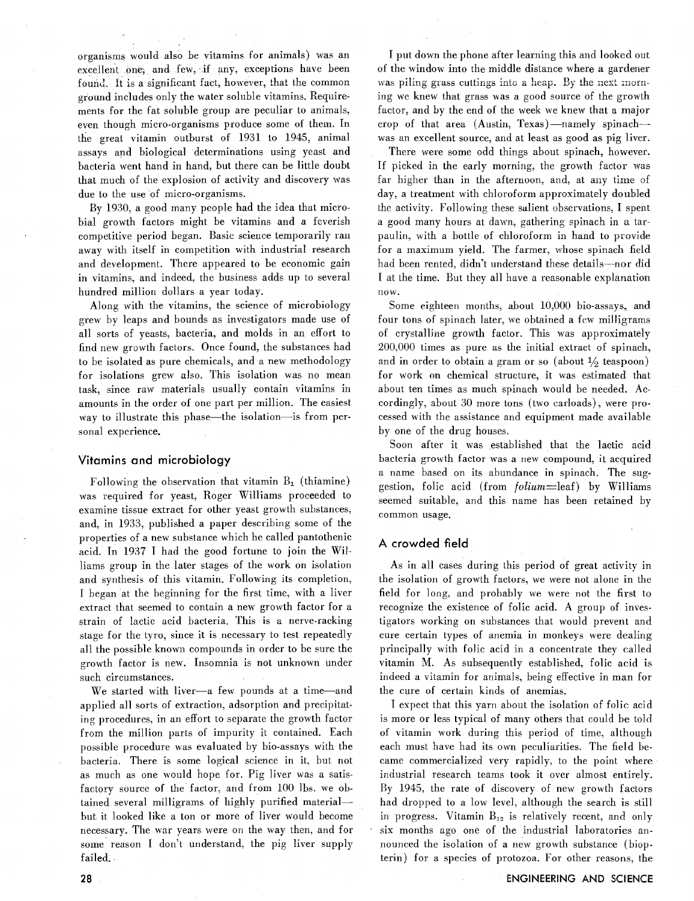organisms would also be vitamins for animals) was an excellent one, and few, if any, exceptions have been found. It is a significant fact, however, that the common ground includes only the water soluble vitamins. Requirements for the fat soluble group are peculiar to animals, even though micro-organisms produce some of them. In the great vitamin outburst of  $1931$  to  $1945$ , animal assays and biological determinations using yeast and bacteria went hand in hand, but there can be little doubt that much of the explosion of activity and discovery was due to the use of micro-organisms.

By 1930. a good many people had the idea that microbial growth factors might be vitamins and a feverish competitive period began. Basic science temporarily ran away with itself in competition with industrial research and development. There appeared to be economic gain in vitamins, and indeed, the business adds up to several hundred million dollars a year today.

Along with the vitamins, the science of microbiology grew by leaps and bounds as investigators made use of all sorts of yeasts, bacteria, and molds in an effort to find new growth factors. Once found, the substances had to be isolated as pure chemicals, and a new methodology for isolations grew also. This isolation was no mean task, since raw materials usually contain vitamins in amounts in the order of one part per million. The easiest way to illustrate this phase—the isolation—is from personal experience.

#### **Vitamins and microbiology**

Following the observation that vitamin  $B_1$  (thiamine) was required for yeast, Roger Williams proceeded to examine tissue extract for other yeast growth substances. and, in 1933, published a paper describing some of the properties of a new substance which he called pantothenic acid. In 1937 I had the good fortune to join the Williams group in the later stages of the work on isolation and synthesis of this vitamin. Following its completion. I began at the beginning for the first time, with a liver extract that seemed to contain a new growth factor for a strain of lactic acid bacteria. This is a nerve-racking stage for the tyro, since it is necessary to test repeatedly all the possible known compounds in order to be sure the growth factor is new. Insomnia is not unknown under such circumstances.

We started with liver-a few pounds at a time-and applied all sorts of extraction, adsorption and precipitating procedures, in an effort to separate the growth factor from the million parts of impurity it contained. Each possible procedure was evaluated by bio-assays with the bacteria. There is some logical science in it, but not as much as one would hope for. Pig liver was a satisfactory source of the factor; and from 100 Ibs. we obtained several milligrams of highly purified materialbut it looked like a ton or more of liver would become necessary. The war years were on the way then, and for some reason I don't understand, the pig liver supply failed.

I put down the phone after learning this and looked out of the window into the middle distance where a gardener was piling grass cuttings into a heap. By the next morning we knew that grass was a good source of the growth factor, and by the end of the week we knew that a major crop of that area (Austin, Texas)-namely spinachwas an excellent source, and at least as good as pig liver.

There were some odd things about spinach, however. If picked in the early morning, the growth factor was far higher than in the afternoon, and, at any time of day, a treatment with chloroform approximately doubled ihe activity. Following these salient observations, I spent a good many hours at dawn, gathering spinach in a tarpaulin, with a bottle of chloroform in hand to provide for a maximum yield. The farmer, whose spinach field had been rented, didn't understand these details-nor did I at the time. But they all have a reasonable explanation now.

Some eighteen months, about 10,000 bio-assays, and four tons of spinach later, we obtained a few milligrams of crystalline growth factor. This was approximately 200.000 times as pure as the initial extract of spinach, and in order to obtain a gram or so (about  $\frac{1}{2}$  teaspoon) for work on chemical structure, it was estimated that about ten times as much spinach would be needed. Accordingly, about 30 more tons (two carloads), were processed with the assistance and equipment made available by one of the drug houses.

Soon after it was established that the lactic acid bacteria growth factor was a new compound, it acquired a name based on its abundance in spinach. The suggestion, folic acid (from  $folium = leaf$ ) by Williams seemed suitable, and this name has been retained by common usage.

### **A crowded field**

As in all cases during this period of great activity in the isolation of growth factors, we were not alone in the field for long, and probably we were not the first to recognize the existence of folic acid. A group of investigators working on substances that would prevent and cure certain types of anemia in monkeys were dealing principally with folic acid in a concentrate they called vitamin M. As subsequently established, folic acid is indeed a vitamin for animals, being effective in man for the cure of certain kinds of anemias.

I expect that this yarn about the isolation of folic acid is more or less typical of many others that could be told of vitamin work during this period of time, although each must have had its own peculiarities. The field became commercialized very rapidly, to the point where industrial research teams took it over almost entirely. By 1945, the rate of discovery of new growth factors had dropped to a low level, although the search is still in progress. Vitamin  $B_{12}$  is relatively recent, and only six months ago one of the industrial laboratories announced the isolation of a new growth substance (biopterin) for a species of protozoa. For other reasons, the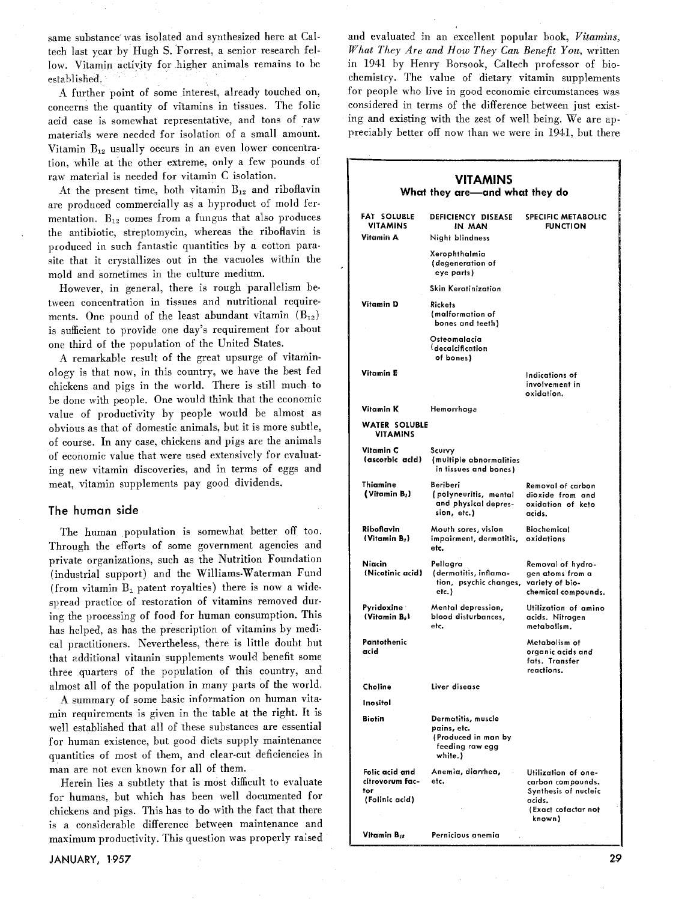same substance was isolated and synthesized here at Caltech last year by Hugh S. Forrest, a senior research fellow. Vitamin activity for higher animals remains to be established.

A further point of some interest, already touched on, concerns the quantity of vitamins in tissues. The folic acid case is somewhat representative, and tons of raw materials were needed for isolation of a small amount. Vitamin B<sub>12</sub> usually occurs in an even lower concentration, while at the other extreme, only a few pounds of raw material is needed for vitamin C isolation.

At the present time, both vitamin  $B_{12}$  and riboflavin are produced commercially as a byproduct of mold fermentation.  $B_{12}$  comes from a fungus that also produces the antibiotic, streptomycin, whereas the riboflavin is produced in such fantastic quantities by a cotton parasite that it crystallizes out in the vacuoles within the mold and sometimes in the culture medium.

However, in general, there is rough parallelism between concentration in tissues and nutritional requirements. One pound of the least abundant vitamin  $(B_{12})$ is sufficient to provide one day's requirement for about one third of the population of the United States.

A remarkable result of the great upsurge of vitaminology is that now, in this country, we have the best fed chickens and pigs in the world. There is still much to be done with people. One would think that the economic value of productivity by people would be almost as obvious as that of domestic animals, but it is more subtle, of course. In any case, chickens and pigs are the animals of economic value that were used extensively for evaluating new vitamin discoveries, and in terms of eggs and meat, vitamin supplements pay good dividends.

#### The **human side**

The human population is somewhat better off too. Through the efforts of some government agencies and private organizations, such as the Nutrition Foundation (industrial support) and the Williams-Waterman Fund (from vitamin  $B_1$  patent royalties) there is now a widespread practice of restoration of vitamins removed during the processing of food for human consumption. This has helped, as has the prescription of vitamins by medical practitioners. Nevertheless, there is little doubt but that additional vitamin supplements would benefit some three quarters of the population of this country, and almost all of the population in many parts of the world.

A summary of some basic information on human vitamin requirements is given in the table at the right. It is well established that all of these substances are essential for human existence, but good diets supply maintenance quantities of most of them, and clear-cut deficiencies in man are not even known for all of them.

Herein lies a subtlety that is most difficult to evaluate for humans, but which has been well documented for chickens and pigs. This has to do with the fact that there is a considerable difference between maintenance and maximum productivity. This question was properly raised

and evaluated in an excellent popular book, **Vitamins,**  *What They Are and* **How** *They Can Benefit You,* written in 1941 by Henry Borsook, Caltech professor of biochemistry. The value of dietary vitamin supplements for people who live in good economic circumstances was considered in terms of the difference between just existing and existing with the zest of well being. We are appreciably better off now than we were in 1941, but there

#### **VITAMINS What they are-and what they do FAT SOLUBLE DEFICIENCY DISEASE VITAMINS IN MAN Vitamin A Night blindness Xerophthalmia (degeneration of eye parts) Skin Keratinization Vitamin D Rickets (malformation of bones and teeth) Osteomalacia (decalcification of bones) Vitamin E Vitamin K** Hemorrhage **WATER SOLUBLE VITAMINS Vitamin C (ascorbic acidl Thiamine (Vitamin B2l Riboflavin (Vitamin Bil Niacin (Nicotinic acidl Pyridoxine (Vitamin BoI Pantothenic acid Choline Inositol Biotin Folic acid and citrovorum factor (Folinic acid) Vitamin Bit Scurvy (multiple abnormalities in tissues and bones) SPECIFIC METABOLIC FUNCTION Indications of involvement in oxidation. Beriberi Removal of carbon fpolyneuritis, mental dioxide from and and physical depres- oxidation of keto**  sion, etc.) **Mouth sores, vision Biochemical**   $im$ *pairment, dermatitis,* **etc. Pellagra Removal of hydro- (dermatitis, inflama- gen atoms from a ion, psychic changes,**<br>etc.) **etc.) chemical compounds. Mental depression, Utilization of amino acids. Nitrogen etc. metabolism. Metabolism of organic acids and fats. Transfer reactions. Liver disease Dermatitis, muscle pains, etc. (Produced in man by feeding raw egg white.) Anemia, diarrhea, Utilization of oneetc. carbon compounds. Synthesis of nucleic acids. (Exact cofactor not known) Pernicious anemia**